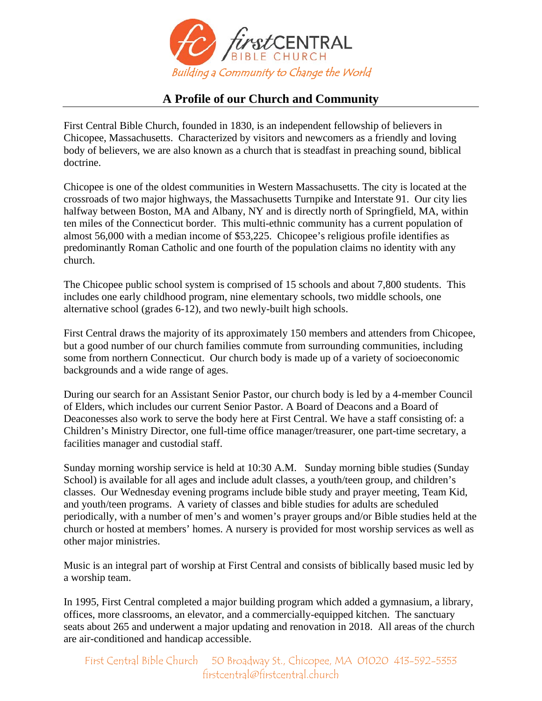

## **A Profile of our Church and Community**

First Central Bible Church, founded in 1830, is an independent fellowship of believers in Chicopee, Massachusetts. Characterized by visitors and newcomers as a friendly and loving body of believers, we are also known as a church that is steadfast in preaching sound, biblical doctrine.

Chicopee is one of the oldest communities in Western Massachusetts. The city is located at the crossroads of two major highways, the Massachusetts Turnpike and Interstate 91. Our city lies halfway between Boston, MA and Albany, NY and is directly north of Springfield, MA, within ten miles of the Connecticut border. This multi-ethnic community has a current population of almost 56,000 with a median income of \$53,225. Chicopee's religious profile identifies as predominantly Roman Catholic and one fourth of the population claims no identity with any church.

The Chicopee public school system is comprised of 15 schools and about 7,800 students. This includes one early childhood program, nine elementary schools, two middle schools, one alternative school (grades 6-12), and two newly-built high schools.

First Central draws the majority of its approximately 150 members and attenders from Chicopee, but a good number of our church families commute from surrounding communities, including some from northern Connecticut. Our church body is made up of a variety of socioeconomic backgrounds and a wide range of ages.

During our search for an Assistant Senior Pastor, our church body is led by a 4-member Council of Elders, which includes our current Senior Pastor. A Board of Deacons and a Board of Deaconesses also work to serve the body here at First Central. We have a staff consisting of: a Children's Ministry Director, one full-time office manager/treasurer, one part-time secretary, a facilities manager and custodial staff.

Sunday morning worship service is held at 10:30 A.M. Sunday morning bible studies (Sunday School) is available for all ages and include adult classes, a youth/teen group, and children's classes. Our Wednesday evening programs include bible study and prayer meeting, Team Kid, and youth/teen programs. A variety of classes and bible studies for adults are scheduled periodically, with a number of men's and women's prayer groups and/or Bible studies held at the church or hosted at members' homes. A nursery is provided for most worship services as well as other major ministries.

Music is an integral part of worship at First Central and consists of biblically based music led by a worship team.

In 1995, First Central completed a major building program which added a gymnasium, a library, offices, more classrooms, an elevator, and a commercially-equipped kitchen. The sanctuary seats about 265 and underwent a major updating and renovation in 2018. All areas of the church are air-conditioned and handicap accessible.

First Central Bible Church 50 Broadway St., Chicopee, MA 01020 413-592-5353 firstcentral@firstcentral.church